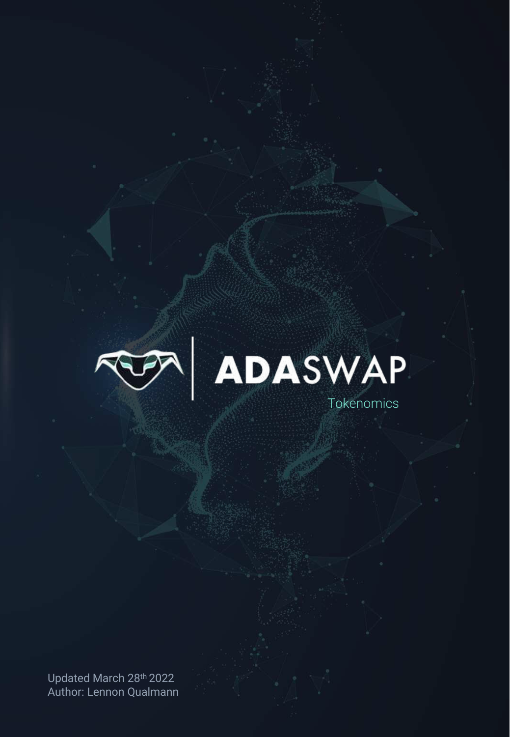



Updated March 28th 2022 Author: Lennon Qualmann